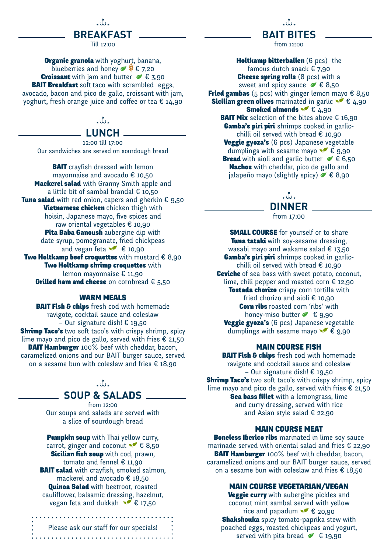

Till 12:00

**Organic granola** with yoghurt, banana, blueberries and honey  $\blacktriangleright$   $\blacklozenge$   $\epsilon$  7,20 **Croissant** with jam and butter  $\neq \epsilon$  3,90 **BAIT Breakfast** soft taco with scrambled eggs, avocado, bacon and pico de gallo, croissant with jam, yoghurt, fresh orange juice and coffee or tea € 14,90

### $\mathcal{M}_{\mathcal{L}}$

### **LUNCH**

12:00 till 17:00 Our sandwiches are served on sourdough bread

**BAIT** crayfish dressed with lemon mayonnaise and avocado € 10,50 **Mackerel salad** with Granny Smith apple and a little bit of sambal brandal € 10,50 Tuna salad with red onion, capers and gherkin  $\epsilon$  9,50 **Vietnamese chicken** chicken thigh with hoisin, Japanese mayo, five spices and raw oriental vegetables € 10,90 Pita Baba Ganoush aubergine dip with date syrup, pomegranate, fried chickpeas and vegan feta  $\bullet \bullet$  € 10,90 Two Holtkamp beef croquettes with mustard  $\epsilon$  8,90 Two Holtkamp shrimp croquettes with lemon mayonnaise € 11,90 **Grilled ham and cheese** on cornbread  $\epsilon$  5.50

#### WARM MEALS

**BAIT Fish & chips** fresh cod with homemade ravigote, cocktail sauce and coleslaw – Our signature dish! € 19,50 **Shrimp Taco's** two soft taco's with crispy shrimp, spicy lime mayo and pico de gallo, served with fries  $\epsilon$  21,50 **BAIT Hamburger** 100% beef with cheddar, bacon, caramelized onions and our BAIT burger sauce, served on a sesame bun with coleslaw and fries € 18,90

### $\hat{u}$ **SOUP & SALADS**

from 12:00 Our soups and salads are served with a slice of sourdough bread

**Pumpkin soup** with Thai yellow curry, carrot, ginger and coconut  $\leq \epsilon$  8,50 **Sicilian fish soup** with cod, prawn, tomato and fennel € 11,90 **BAIT salad** with crayfish, smoked salmon, mackerel and avocado € 18,50 **Quinoa Salad** with beetroot, roasted cauliflower, balsamic dressing, hazelnut, vegan feta and dukkah  $\bullet$  € 17,50

Please ask our staff for our specials! 

 $\mathcal{M}_{\mathcal{F}}$ **BAIT BITES** 

from 12:00

Holtkamp bitterballen (6 pcs) the famous dutch snack € 7,90 **Cheese spring rolls** (8 pcs) with a sweet and spicy sauce  $\leq \epsilon$  8,50 Fried gambas (5 pcs) with ginger lemon mayo  $\epsilon$  8,50 **Sicilian green olives** marinated in garlic  $\bullet$  € 4,90 **Smoked almonds**  $\leq 4,90$ **BAIT Mix** selection of the bites above  $\epsilon$  16,90 **Gamba's piri piri** shrimps cooked in garlicchilli oil served with bread  $\epsilon$  10,90 Veggie gyoza's (6 pcs) Japanese vegetable dumplings with sesame mayo  $\bullet \in \mathfrak{g},$  90 **Bread** with aioli and garlic butter  $\leq \epsilon$  6,50 Nachos with cheddar, pico de gallo and jalapeño mayo (slightly spicy)  $\leq \epsilon$  8,90

# . u.

# **DINNER**

from 17:00

**SMALL COURSE** for yourself or to share **Tuna tataki** with soy-sesame dressing, wasabi mayo and wakame salad € 13,50 **Gamba's piri piri** shrimps cooked in garlicchilli oil served with bread € 10,90 **Ceviche** of sea bass with sweet potato, coconut, lime, chili pepper and roasted corn € 12,90 Tostada chorizo crispy corn tortilla with fried chorizo and aioli € 10,90 Corn ribs roasted corn 'ribs' with honey-miso butter  $\leq \epsilon$  9,90 Veggie gyoza's (6 pcs) Japanese vegetable dumplings with sesame mayo  $\leq \epsilon$  9,90

### MAIN COURSE FISH

**BAIT Fish & chips** fresh cod with homemade ravigote and cocktail sauce and coleslaw – Our signature dish! € 19,50 **Shrimp Taco's** two soft taco's with crispy shrimp, spicy lime mayo and pico de gallo, served with fries  $\epsilon$  21,50 **Sea bass fillet** with a lemongrass, lime and curry dressing, served with rice and Asian style salad € 22,90

### MAIN COURSE MEAT

**Boneless Iberico ribs** marinated in lime soy sauce marinade served with oriental salad and fries € 22,90 **BAIT Hamburger** 100% beef with cheddar, bacon, caramelized onions and our BAIT burger sauce, served on a sesame bun with coleslaw and fries  $\epsilon$  18,50

### MAIN COURSE VEGETARIAN/VEGAN

**Veggie curry** with aubergine pickles and coconut mint sambal served with yellow rice and papadum  $\bullet \in 20,90$ **Shakshouka** spicy tomato-paprika stew with poached eggs, roasted chickpeas and yogurt, served with pita bread  $\leq$   $\in$  19,90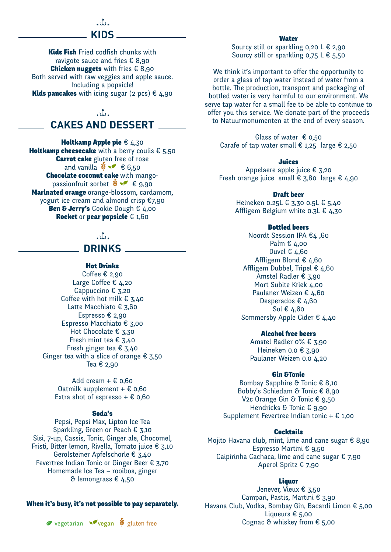### ៶៶៲៸ **KIDS**

**Kids Fish Fried codfish chunks with** ravigote sauce and fries € 8,90 **Chicken nuggets** with fries  $\epsilon$  8,90 Both served with raw veggies and apple sauce. Including a popsicle! Kids pancakes with icing sugar (2 pcs)  $\epsilon$  4,90

# $\mathcal{M}_{\mathcal{F}}$ **CAKES AND DESSERT**

Holtkamp Apple pie  $\epsilon$  4,30 Holtkamp cheesecake with a berry coulis  $\epsilon$  5,50

Carrot cake gluten free of rose and vanilla  $\mathbf{\hat{x}} \sim \epsilon$  6,50 Chocolate coconut cake with mangopassionfruit sorbet  $\bullet \bullet \bullet$   $\bullet$  9,90 Marinated orange orange-blossom, cardamom, yogurt ice cream and almond crisp €7,90 Ben & Jerry's Cookie Dough  $\epsilon$  4,00 Rocket or pear popsicle  $\epsilon$  1,60

# $\cdot$ ib $\cdot$

# **DRINKS**

### Hot Drinks

Coffee  $\epsilon$  2,90 Large Coffee € 4,20 Cappuccino € 3,20 Coffee with hot milk  $\epsilon$  3,40 Latte Macchiato € 3,60 Espresso € 2,90 Espresso Macchiato € 3,00 Hot Chocolate € 3,30 Fresh mint tea  $\epsilon$  3,40 Fresh ginger tea € 3,40 Ginger tea with a slice of orange  $\epsilon$  3,50 Tea € 2,90

Add cream  $+ \epsilon$  0,60 Oatmilk supplement +  $\epsilon$  0,60 Extra shot of espresso  $+ \epsilon$  0,60

### Soda's

Pepsi, Pepsi Max, Lipton Ice Tea Sparkling, Green or Peach € 3,10 Sisi, 7-up, Cassis, Tonic, Ginger ale, Chocomel, Fristi, Bitter lemon, Rivella, Tomato juice € 3,10 Gerolsteiner Apfelschorle € 3,40 Fevertree Indian Tonic or Ginger Beer € 3,70 Homemade Ice Tea – rooibos, ginger & lemongrass € 4,50

#### When it's busy, it's not possible to pay separately.

**⊘** vegetarian **v** vegan **V** gluten free

**Water** 

Sourcy still or sparkling  $0,20 \text{ L} \in 2,90$ Sourcy still or sparkling 0,75 L € 5,50

We think it's important to offer the opportunity to order a glass of tap water instead of water from a bottle. The production, transport and packaging of bottled water is very harmful to our environment. We serve tap water for a small fee to be able to continue to offer you this service. We donate part of the proceeds to Natuurmonumenten at the end of every season.

Glass of water  $\epsilon$  0,50 Carafe of tap water small  $\epsilon$  1,25 large  $\epsilon$  2,50

#### Juices

Appelaere apple juice € 3,20 Fresh orange juice small  $\epsilon$  3,80 large  $\epsilon$  4,90

Draft beer

Heineken 0.25L € 3,30 0.5L € 5,40 Affligem Belgium white 0.3L € 4,30

#### Bottled beers

Noordt Session IPA €4 ,60 Palm € 4,00 Duvel € 4,60 Affligem Blond € 4,60 Affligem Dubbel, Tripel € 4,60 Amstel Radler € 3,90 Mort Subite Kriek 4,00 Paulaner Weizen € 4,60 Desperados € 4,60 Sol € 4,60 Sommersby Apple Cider € 4,40

#### Alcohol free beers

Amstel Radler 0% € 3,90 Heineken 0.0 € 3,90 Paulaner Weizen 0.0 4,20

#### Gin &Tonic

Bombay Sapphire & Tonic € 8,10 Bobby's Schiedam & Tonic € 8,90 V2c Orange Gin & Tonic € 9,50 Hendricks & Tonic € 9,90 Supplement Fevertree Indian tonic  $+ \epsilon$  1,00

#### **Cocktails**

Mojito Havana club, mint, lime and cane sugar € 8,90 Espresso Martini € 9,50 Caipirinha Cachaca, lime and cane sugar € 7,90 Aperol Spritz € 7,90

#### Liquor

Jenever, Vieux € 3,50 Campari, Pastis, Martini € 3,90 Havana Club, Vodka, Bombay Gin, Bacardi Limon € 5,00 Liqueurs € 5,00<br>Cognac & whiskey from € 5,00